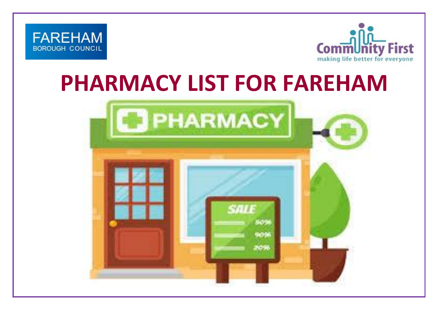



## **PHARMACY LIST FOR FAREHAM**

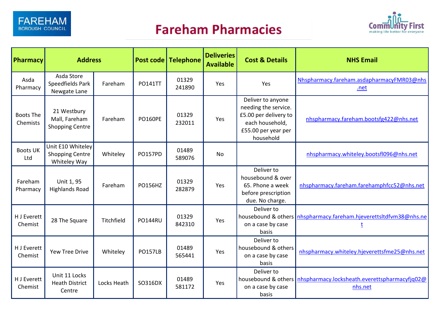

## **Fareham Pharmacies**



| Pharmacy                     | <b>Address</b>                                              |             |                | Post code   Telephone | <b>Deliveries</b><br><b>Available</b> | <b>Cost &amp; Details</b>                                                                                                 | <b>NHS Email</b>                                                               |
|------------------------------|-------------------------------------------------------------|-------------|----------------|-----------------------|---------------------------------------|---------------------------------------------------------------------------------------------------------------------------|--------------------------------------------------------------------------------|
| Asda<br>Pharmacy             | Asda Store<br>Speedfields Park<br>Newgate Lane              | Fareham     | <b>PO141TT</b> | 01329<br>241890       | Yes                                   | Yes                                                                                                                       | Nhspharmacy.fareham.asdapharmacyFMR03@nhs<br>.net                              |
| <b>Boots The</b><br>Chemists | 21 Westbury<br>Mall, Fareham<br><b>Shopping Centre</b>      | Fareham     | <b>PO160PE</b> | 01329<br>232011       | Yes                                   | Deliver to anyone<br>needing the service.<br>£5.00 per delivery to<br>each household,<br>£55.00 per year per<br>household | nhspharmacy.fareham.bootsfg422@nhs.net                                         |
| <b>Boots UK</b><br>Ltd       | Unit E10 Whiteley<br><b>Shopping Centre</b><br>Whiteley Way | Whiteley    | <b>PO157PD</b> | 01489<br>589076       | <b>No</b>                             |                                                                                                                           | nhspharmacy.whiteley.bootsfl096@nhs.net                                        |
| Fareham<br>Pharmacy          | Unit 1, 95<br><b>Highlands Road</b>                         | Fareham     | <b>PO156HZ</b> | 01329<br>282879       | Yes                                   | Deliver to<br>housebound & over<br>65. Phone a week<br>before prescription<br>due. No charge.                             | nhspharmacy.fareham.farehamphfcc52@nhs.net                                     |
| H J Everett<br>Chemist       | 28 The Square                                               | Titchfield  | <b>PO144RU</b> | 01329<br>842310       | Yes                                   | Deliver to<br>housebound & others<br>on a case by case<br>basis                                                           | nhspharmacy.fareham.hjeverettsltdfvm38@nhs.ne                                  |
| H J Everett<br>Chemist       | Yew Tree Drive                                              | Whiteley    | <b>PO157LB</b> | 01489<br>565441       | Yes                                   | Deliver to<br>housebound & others<br>on a case by case<br>basis                                                           | nhspharmacy.whiteley.hjeverettsfme25@nhs.net                                   |
| H J Everett<br>Chemist       | Unit 11 Locks<br><b>Heath District</b><br>Centre            | Locks Heath | SO316DX        | 01489<br>581172       | Yes                                   | Deliver to<br>on a case by case<br>basis                                                                                  | housebound & others   nhspharmacy.locksheath.everettspharmacyfjq02@<br>nhs.net |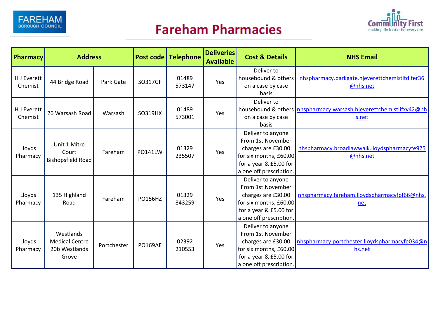





| Pharmacy               | <b>Address</b>                                               |             |                | Post code Telephone | <b>Deliveries</b><br><b>Available</b> | <b>Cost &amp; Details</b>                                                                                                                   | <b>NHS Email</b>                                                              |
|------------------------|--------------------------------------------------------------|-------------|----------------|---------------------|---------------------------------------|---------------------------------------------------------------------------------------------------------------------------------------------|-------------------------------------------------------------------------------|
| H J Everett<br>Chemist | 44 Bridge Road                                               | Park Gate   | SO317GF        | 01489<br>573147     | Yes                                   | Deliver to<br>housebound & others<br>on a case by case<br>basis                                                                             | nhspharmacy.parkgate.hjeverettchemistltd.fer36<br>@nhs.net                    |
| H J Everett<br>Chemist | 26 Warsash Road                                              | Warsash     | SO319HX        | 01489<br>573001     | Yes                                   | Deliver to<br>on a case by case<br>basis                                                                                                    | housebound & others   nhspharmacy.warsash.hjeverettchemistlifxv42@nh<br>s.net |
| Lloyds<br>Pharmacy     | Unit 1 Mitre<br>Court<br>Bishopsfield Road                   | Fareham     | PO141LW        | 01329<br>235507     | Yes                                   | Deliver to anyone<br>From 1st November<br>charges are £30.00<br>for six months, £60.00<br>for a year & £5.00 for<br>a one off prescription. | nhspharmacy.broadlawwalk.lloydspharmacyfe925<br>@nhs.net                      |
| Lloyds<br>Pharmacy     | 135 Highland<br>Road                                         | Fareham     | PO156HZ        | 01329<br>843259     | Yes                                   | Deliver to anyone<br>From 1st November<br>charges are £30.00<br>for six months, £60.00<br>for a year & £5.00 for<br>a one off prescription. | nhspharmacy.fareham.lloydspharmacyfpf66@nhs.<br>net                           |
| Lloyds<br>Pharmacy     | Westlands<br><b>Medical Centre</b><br>20b Westlands<br>Grove | Portchester | <b>PO169AE</b> | 02392<br>210553     | Yes                                   | Deliver to anyone<br>From 1st November<br>charges are £30.00<br>for six months, £60.00<br>for a year & £5.00 for<br>a one off prescription. | nhspharmacy.portchester.lloydspharmacyfe034@n<br>hs.net                       |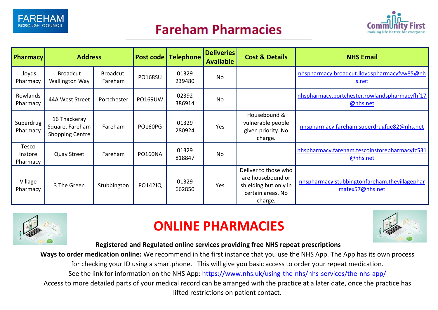

## **Fareham Pharmacies**



| <b>Pharmacy</b>              | <b>Address</b>                                            |                      |                | Post code   Telephone | <b>Deliveries</b><br><b>Available</b> | <b>Cost &amp; Details</b>                                                                          | <b>NHS Email</b>                                                 |
|------------------------------|-----------------------------------------------------------|----------------------|----------------|-----------------------|---------------------------------------|----------------------------------------------------------------------------------------------------|------------------------------------------------------------------|
| Lloyds<br>Pharmacy           | <b>Broadcut</b><br><b>Wallington Way</b>                  | Broadcut,<br>Fareham | <b>PO168SU</b> | 01329<br>239480       | No                                    |                                                                                                    | nhspharmacy.broadcut.lloydspharmacyfvw85@nh<br>s.net             |
| Rowlands<br>Pharmacy         | 44A West Street                                           | Portchester          | PO169UW        | 02392<br>386914       | <b>No</b>                             |                                                                                                    | nhspharmacy.portchester.rowlandspharmacyfhf17<br>@nhs.net        |
| Superdrug<br>Pharmacy        | 16 Thackeray<br>Square, Fareham<br><b>Shopping Centre</b> | Fareham              | <b>PO160PG</b> | 01329<br>280924       | Yes                                   | Housebound &<br>vulnerable people<br>given priority. No<br>charge.                                 | nhspharmacy.fareham.superdrugfge82@nhs.net                       |
| Tesco<br>Instore<br>Pharmacy | <b>Quay Street</b>                                        | Fareham              | PO160NA        | 01329<br>818847       | <b>No</b>                             |                                                                                                    | nhspharmacy.fareham.tescoinstorepharmacyfc531<br>@nhs.net        |
| Village<br>Pharmacy          | 3 The Green                                               | Stubbington          | <b>PO142JQ</b> | 01329<br>662850       | Yes                                   | Deliver to those who<br>are housebound or<br>shielding but only in<br>certain areas. No<br>charge. | nhspharmacy.stubbingtonfareham.thevillagephar<br>mafex57@nhs.net |



## **ONLINE PHARMACIES**



**Registered and Regulated online services providing free NHS repeat prescriptions**

**Ways to order medication online:** We recommend in the first instance that you use the NHS App. The App has its own process

for checking your ID using a smartphone. This will give you basic access to order your repeat medication.

See the link for information on the NHS App:<https://www.nhs.uk/using-the-nhs/nhs-services/the-nhs-app/>

Access to more detailed parts of your medical record can be arranged with the practice at a later date, once the practice has lifted restrictions on patient contact.